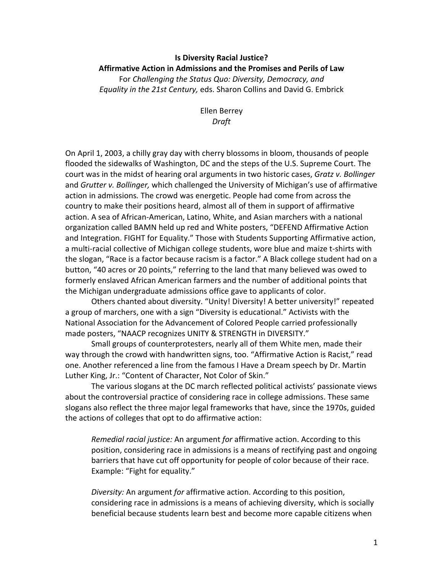# **Is Diversity Racial Justice? Affirmative Action in Admissions and the Promises and Perils of Law**

For Challenging the Status Quo: Diversity, Democracy, and *Equality in the 21st Century, eds. Sharon Collins and David G. Embrick* 

> Ellen Berrey *Draft*

On April 1, 2003, a chilly gray day with cherry blossoms in bloom, thousands of people flooded the sidewalks of Washington, DC and the steps of the U.S. Supreme Court. The court was in the midst of hearing oral arguments in two historic cases, *Gratz v. Bollinger* and *Grutter v. Bollinger*, which challenged the University of Michigan's use of affirmative action in admissions. The crowd was energetic. People had come from across the country to make their positions heard, almost all of them in support of affirmative action. A sea of African-American, Latino, White, and Asian marchers with a national organization called BAMN held up red and White posters, "DEFEND Affirmative Action and Integration. FIGHT for Equality." Those with Students Supporting Affirmative action, a multi-racial collective of Michigan college students, wore blue and maize t-shirts with the slogan, "Race is a factor because racism is a factor." A Black college student had on a button, "40 acres or 20 points," referring to the land that many believed was owed to formerly enslaved African American farmers and the number of additional points that the Michigan undergraduate admissions office gave to applicants of color.

Others chanted about diversity. "Unity! Diversity! A better university!" repeated a group of marchers, one with a sign "Diversity is educational." Activists with the National Association for the Advancement of Colored People carried professionally made posters, "NAACP recognizes UNITY & STRENGTH in DIVERSITY."

Small groups of counterprotesters, nearly all of them White men, made their way through the crowd with handwritten signs, too. "Affirmative Action is Racist," read one. Another referenced a line from the famous I Have a Dream speech by Dr. Martin Luther King, Jr.: "Content of Character, Not Color of Skin."

The various slogans at the DC march reflected political activists' passionate views about the controversial practice of considering race in college admissions. These same slogans also reflect the three major legal frameworks that have, since the 1970s, guided the actions of colleges that opt to do affirmative action:

*Remedial racial justice:* An argument *for* affirmative action. According to this position, considering race in admissions is a means of rectifying past and ongoing barriers that have cut off opportunity for people of color because of their race. Example: "Fight for equality."

*Diversity:* An argument *for* affirmative action. According to this position, considering race in admissions is a means of achieving diversity, which is socially beneficial because students learn best and become more capable citizens when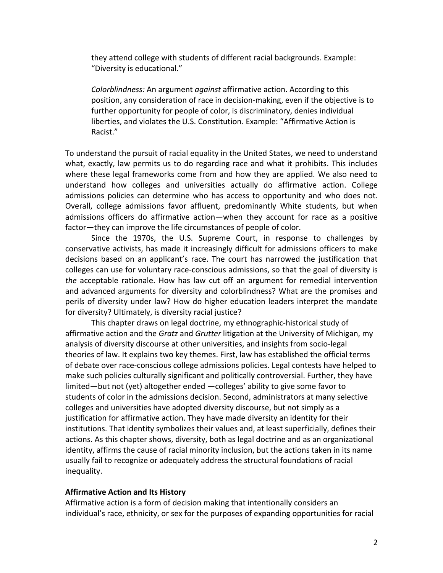they attend college with students of different racial backgrounds. Example: "Diversity is educational."

*Colorblindness:* An argument *against* affirmative action. According to this position, any consideration of race in decision-making, even if the objective is to further opportunity for people of color, is discriminatory, denies individual liberties, and violates the U.S. Constitution. Example: "Affirmative Action is Racist."

To understand the pursuit of racial equality in the United States, we need to understand what, exactly, law permits us to do regarding race and what it prohibits. This includes where these legal frameworks come from and how they are applied. We also need to understand how colleges and universities actually do affirmative action. College admissions policies can determine who has access to opportunity and who does not. Overall, college admissions favor affluent, predominantly White students, but when admissions officers do affirmative action—when they account for race as a positive factor—they can improve the life circumstances of people of color.

Since the 1970s, the U.S. Supreme Court, in response to challenges by conservative activists, has made it increasingly difficult for admissions officers to make decisions based on an applicant's race. The court has narrowed the justification that colleges can use for voluntary race-conscious admissions, so that the goal of diversity is *the* acceptable rationale. How has law cut off an argument for remedial intervention and advanced arguments for diversity and colorblindness? What are the promises and perils of diversity under law? How do higher education leaders interpret the mandate for diversity? Ultimately, is diversity racial justice?

This chapter draws on legal doctrine, my ethnographic-historical study of affirmative action and the *Gratz* and *Grutter* litigation at the University of Michigan, my analysis of diversity discourse at other universities, and insights from socio-legal theories of law. It explains two key themes. First, law has established the official terms of debate over race-conscious college admissions policies. Legal contests have helped to make such policies culturally significant and politically controversial. Further, they have  $limited$ —but not (yet) altogether ended —colleges' ability to give some favor to students of color in the admissions decision. Second, administrators at many selective colleges and universities have adopted diversity discourse, but not simply as a justification for affirmative action. They have made diversity an identity for their institutions. That identity symbolizes their values and, at least superficially, defines their actions. As this chapter shows, diversity, both as legal doctrine and as an organizational identity, affirms the cause of racial minority inclusion, but the actions taken in its name usually fail to recognize or adequately address the structural foundations of racial inequality.

## **Affirmative Action and Its History**

Affirmative action is a form of decision making that intentionally considers an individual's race, ethnicity, or sex for the purposes of expanding opportunities for racial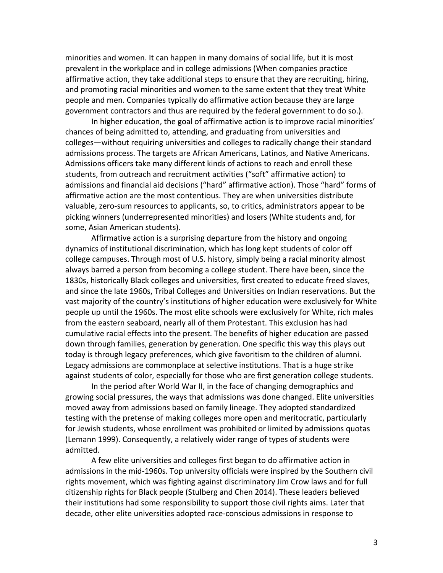minorities and women. It can happen in many domains of social life, but it is most prevalent in the workplace and in college admissions (When companies practice affirmative action, they take additional steps to ensure that they are recruiting, hiring, and promoting racial minorities and women to the same extent that they treat White people and men. Companies typically do affirmative action because they are large government contractors and thus are required by the federal government to do so.).

In higher education, the goal of affirmative action is to improve racial minorities' chances of being admitted to, attending, and graduating from universities and colleges—without requiring universities and colleges to radically change their standard admissions process. The targets are African Americans, Latinos, and Native Americans. Admissions officers take many different kinds of actions to reach and enroll these students, from outreach and recruitment activities ("soft" affirmative action) to admissions and financial aid decisions ("hard" affirmative action). Those "hard" forms of affirmative action are the most contentious. They are when universities distribute valuable, zero-sum resources to applicants, so, to critics, administrators appear to be picking winners (underrepresented minorities) and losers (White students and, for some, Asian American students).

Affirmative action is a surprising departure from the history and ongoing dynamics of institutional discrimination, which has long kept students of color off college campuses. Through most of U.S. history, simply being a racial minority almost always barred a person from becoming a college student. There have been, since the 1830s, historically Black colleges and universities, first created to educate freed slaves, and since the late 1960s, Tribal Colleges and Universities on Indian reservations. But the vast majority of the country's institutions of higher education were exclusively for White people up until the 1960s. The most elite schools were exclusively for White, rich males from the eastern seaboard, nearly all of them Protestant. This exclusion has had cumulative racial effects into the present. The benefits of higher education are passed down through families, generation by generation. One specific this way this plays out today is through legacy preferences, which give favoritism to the children of alumni. Legacy admissions are commonplace at selective institutions. That is a huge strike against students of color, especially for those who are first generation college students.

In the period after World War II, in the face of changing demographics and growing social pressures, the ways that admissions was done changed. Elite universities moved away from admissions based on family lineage. They adopted standardized testing with the pretense of making colleges more open and meritocratic, particularly for Jewish students, whose enrollment was prohibited or limited by admissions quotas (Lemann 1999). Consequently, a relatively wider range of types of students were admitted.

A few elite universities and colleges first began to do affirmative action in admissions in the mid-1960s. Top university officials were inspired by the Southern civil rights movement, which was fighting against discriminatory Jim Crow laws and for full citizenship rights for Black people (Stulberg and Chen 2014). These leaders believed their institutions had some responsibility to support those civil rights aims. Later that decade, other elite universities adopted race-conscious admissions in response to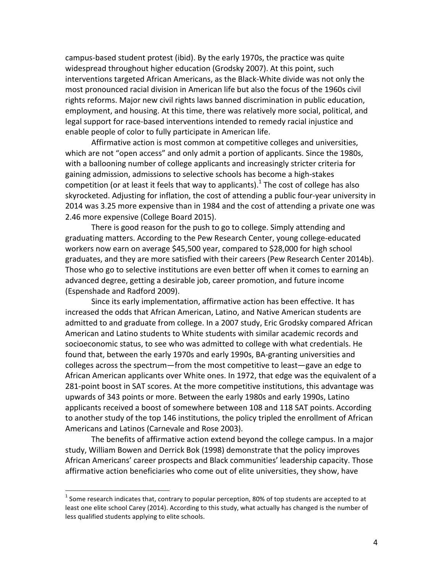campus-based student protest (ibid). By the early 1970s, the practice was quite widespread throughout higher education (Grodsky 2007). At this point, such interventions targeted African Americans, as the Black-White divide was not only the most pronounced racial division in American life but also the focus of the 1960s civil rights reforms. Major new civil rights laws banned discrimination in public education, employment, and housing. At this time, there was relatively more social, political, and legal support for race-based interventions intended to remedy racial injustice and enable people of color to fully participate in American life.

Affirmative action is most common at competitive colleges and universities, which are not "open access" and only admit a portion of applicants. Since the 1980s, with a ballooning number of college applicants and increasingly stricter criteria for gaining admission, admissions to selective schools has become a high-stakes competition (or at least it feels that way to applicants).<sup>1</sup> The cost of college has also skyrocketed. Adjusting for inflation, the cost of attending a public four-year university in 2014 was 3.25 more expensive than in 1984 and the cost of attending a private one was 2.46 more expensive (College Board 2015).

There is good reason for the push to go to college. Simply attending and graduating matters. According to the Pew Research Center, young college-educated workers now earn on average \$45,500 year, compared to \$28,000 for high school graduates, and they are more satisfied with their careers (Pew Research Center 2014b). Those who go to selective institutions are even better off when it comes to earning an advanced degree, getting a desirable job, career promotion, and future income (Espenshade and Radford 2009).

Since its early implementation, affirmative action has been effective. It has increased the odds that African American, Latino, and Native American students are admitted to and graduate from college. In a 2007 study, Eric Grodsky compared African American and Latino students to White students with similar academic records and socioeconomic status, to see who was admitted to college with what credentials. He found that, between the early 1970s and early 1990s, BA-granting universities and colleges across the spectrum—from the most competitive to least—gave an edge to African American applicants over White ones. In 1972, that edge was the equivalent of a 281-point boost in SAT scores. At the more competitive institutions, this advantage was upwards of 343 points or more. Between the early 1980s and early 1990s, Latino applicants received a boost of somewhere between 108 and 118 SAT points. According to another study of the top 146 institutions, the policy tripled the enrollment of African Americans and Latinos (Carnevale and Rose 2003).

The benefits of affirmative action extend beyond the college campus. In a major study, William Bowen and Derrick Bok (1998) demonstrate that the policy improves African Americans' career prospects and Black communities' leadership capacity. Those affirmative action beneficiaries who come out of elite universities, they show, have

 $1$  Some research indicates that, contrary to popular perception, 80% of top students are accepted to at least one elite school Carey (2014). According to this study, what actually has changed is the number of less qualified students applying to elite schools.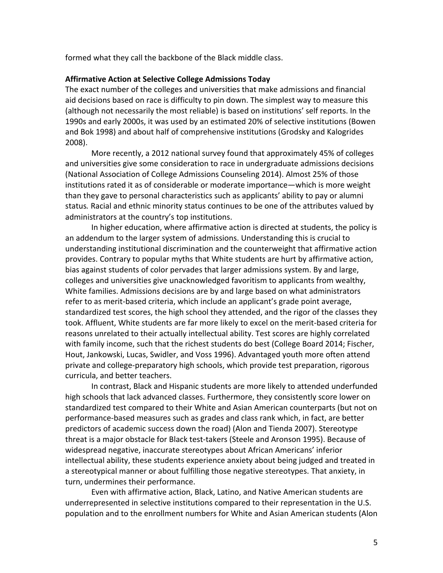formed what they call the backbone of the Black middle class.

# **Affirmative Action at Selective College Admissions Today**

The exact number of the colleges and universities that make admissions and financial aid decisions based on race is difficulty to pin down. The simplest way to measure this (although not necessarily the most reliable) is based on institutions' self reports. In the 1990s and early 2000s, it was used by an estimated 20% of selective institutions (Bowen and Bok 1998) and about half of comprehensive institutions (Grodsky and Kalogrides 2008).

More recently, a 2012 national survey found that approximately 45% of colleges and universities give some consideration to race in undergraduate admissions decisions (National Association of College Admissions Counseling 2014). Almost 25% of those institutions rated it as of considerable or moderate importance—which is more weight than they gave to personal characteristics such as applicants' ability to pay or alumni status. Racial and ethnic minority status continues to be one of the attributes valued by administrators at the country's top institutions.

In higher education, where affirmative action is directed at students, the policy is an addendum to the larger system of admissions. Understanding this is crucial to understanding institutional discrimination and the counterweight that affirmative action provides. Contrary to popular myths that White students are hurt by affirmative action, bias against students of color pervades that larger admissions system. By and large, colleges and universities give unacknowledged favoritism to applicants from wealthy, White families. Admissions decisions are by and large based on what administrators refer to as merit-based criteria, which include an applicant's grade point average, standardized test scores, the high school they attended, and the rigor of the classes they took. Affluent, White students are far more likely to excel on the merit-based criteria for reasons unrelated to their actually intellectual ability. Test scores are highly correlated with family income, such that the richest students do best (College Board 2014; Fischer, Hout, Jankowski, Lucas, Swidler, and Voss 1996). Advantaged youth more often attend private and college-preparatory high schools, which provide test preparation, rigorous curricula, and better teachers.

In contrast, Black and Hispanic students are more likely to attended underfunded high schools that lack advanced classes. Furthermore, they consistently score lower on standardized test compared to their White and Asian American counterparts (but not on performance-based measures such as grades and class rank which, in fact, are better predictors of academic success down the road) (Alon and Tienda 2007). Stereotype threat is a major obstacle for Black test-takers (Steele and Aronson 1995). Because of widespread negative, inaccurate stereotypes about African Americans' inferior intellectual ability, these students experience anxiety about being judged and treated in a stereotypical manner or about fulfilling those negative stereotypes. That anxiety, in turn, undermines their performance.

Even with affirmative action, Black, Latino, and Native American students are underrepresented in selective institutions compared to their representation in the U.S. population and to the enrollment numbers for White and Asian American students (Alon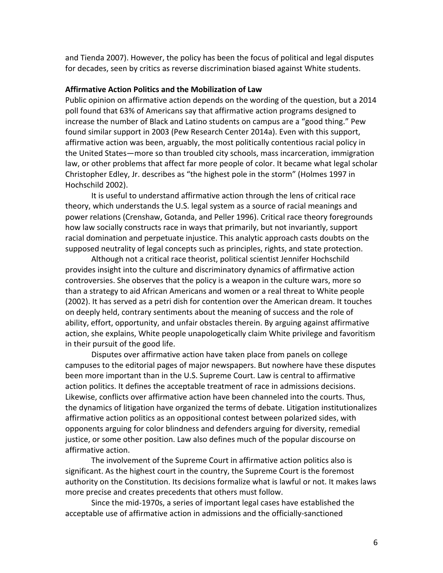and Tienda 2007). However, the policy has been the focus of political and legal disputes for decades, seen by critics as reverse discrimination biased against White students.

## **Affirmative Action Politics and the Mobilization of Law**

Public opinion on affirmative action depends on the wording of the question, but a 2014 poll found that 63% of Americans say that affirmative action programs designed to increase the number of Black and Latino students on campus are a "good thing." Pew found similar support in 2003 (Pew Research Center 2014a). Even with this support, affirmative action was been, arguably, the most politically contentious racial policy in the United States—more so than troubled city schools, mass incarceration, immigration law, or other problems that affect far more people of color. It became what legal scholar Christopher Edley, Jr. describes as "the highest pole in the storm" (Holmes 1997 in Hochschild 2002).

It is useful to understand affirmative action through the lens of critical race theory, which understands the U.S. legal system as a source of racial meanings and power relations (Crenshaw, Gotanda, and Peller 1996). Critical race theory foregrounds how law socially constructs race in ways that primarily, but not invariantly, support racial domination and perpetuate injustice. This analytic approach casts doubts on the supposed neutrality of legal concepts such as principles, rights, and state protection.

Although not a critical race theorist, political scientist Jennifer Hochschild provides insight into the culture and discriminatory dynamics of affirmative action controversies. She observes that the policy is a weapon in the culture wars, more so than a strategy to aid African Americans and women or a real threat to White people (2002). It has served as a petri dish for contention over the American dream. It touches on deeply held, contrary sentiments about the meaning of success and the role of ability, effort, opportunity, and unfair obstacles therein. By arguing against affirmative action, she explains, White people unapologetically claim White privilege and favoritism in their pursuit of the good life.

Disputes over affirmative action have taken place from panels on college campuses to the editorial pages of major newspapers. But nowhere have these disputes been more important than in the U.S. Supreme Court. Law is central to affirmative action politics. It defines the acceptable treatment of race in admissions decisions. Likewise, conflicts over affirmative action have been channeled into the courts. Thus, the dynamics of litigation have organized the terms of debate. Litigation institutionalizes affirmative action politics as an oppositional contest between polarized sides, with opponents arguing for color blindness and defenders arguing for diversity, remedial justice, or some other position. Law also defines much of the popular discourse on affirmative action.

The involvement of the Supreme Court in affirmative action politics also is significant. As the highest court in the country, the Supreme Court is the foremost authority on the Constitution. Its decisions formalize what is lawful or not. It makes laws more precise and creates precedents that others must follow.

Since the mid-1970s, a series of important legal cases have established the acceptable use of affirmative action in admissions and the officially-sanctioned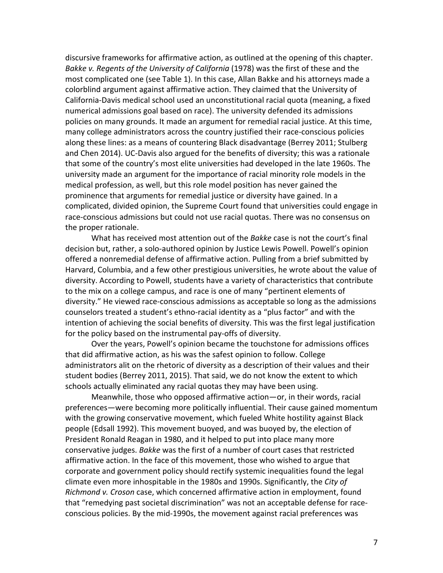discursive frameworks for affirmative action, as outlined at the opening of this chapter. *Bakke v. Regents of the University of California* (1978) was the first of these and the most complicated one (see Table 1). In this case, Allan Bakke and his attorneys made a colorblind argument against affirmative action. They claimed that the University of California-Davis medical school used an unconstitutional racial quota (meaning, a fixed numerical admissions goal based on race). The university defended its admissions policies on many grounds. It made an argument for remedial racial justice. At this time, many college administrators across the country justified their race-conscious policies along these lines: as a means of countering Black disadvantage (Berrey 2011; Stulberg and Chen 2014). UC-Davis also argued for the benefits of diversity; this was a rationale that some of the country's most elite universities had developed in the late 1960s. The university made an argument for the importance of racial minority role models in the medical profession, as well, but this role model position has never gained the prominence that arguments for remedial justice or diversity have gained. In a complicated, divided opinion, the Supreme Court found that universities could engage in race-conscious admissions but could not use racial quotas. There was no consensus on the proper rationale.

What has received most attention out of the *Bakke* case is not the court's final decision but, rather, a solo-authored opinion by Justice Lewis Powell. Powell's opinion offered a nonremedial defense of affirmative action. Pulling from a brief submitted by Harvard, Columbia, and a few other prestigious universities, he wrote about the value of diversity. According to Powell, students have a variety of characteristics that contribute to the mix on a college campus, and race is one of many "pertinent elements of diversity." He viewed race-conscious admissions as acceptable so long as the admissions counselors treated a student's ethno-racial identity as a "plus factor" and with the intention of achieving the social benefits of diversity. This was the first legal justification for the policy based on the instrumental pay-offs of diversity.

Over the years, Powell's opinion became the touchstone for admissions offices that did affirmative action, as his was the safest opinion to follow. College administrators alit on the rhetoric of diversity as a description of their values and their student bodies (Berrey 2011, 2015). That said, we do not know the extent to which schools actually eliminated any racial quotas they may have been using.

Meanwhile, those who opposed affirmative action—or, in their words, racial preferences—were becoming more politically influential. Their cause gained momentum with the growing conservative movement, which fueled White hostility against Black people (Edsall 1992). This movement buoyed, and was buoyed by, the election of President Ronald Reagan in 1980, and it helped to put into place many more conservative judges. *Bakke* was the first of a number of court cases that restricted affirmative action. In the face of this movement, those who wished to argue that corporate and government policy should rectify systemic inequalities found the legal climate even more inhospitable in the 1980s and 1990s. Significantly, the *City of Richmond v. Croson* case, which concerned affirmative action in employment, found that "remedying past societal discrimination" was not an acceptable defense for raceconscious policies. By the mid-1990s, the movement against racial preferences was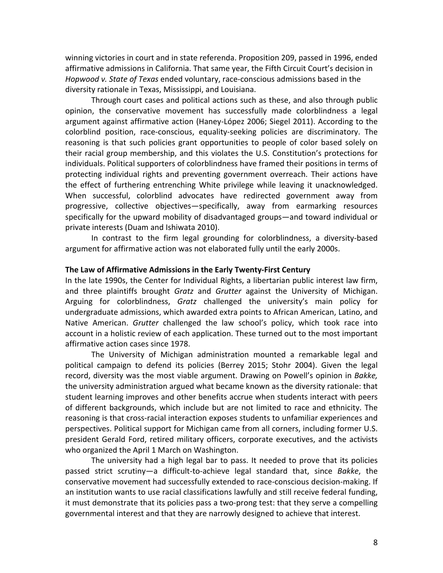winning victories in court and in state referenda. Proposition 209, passed in 1996, ended affirmative admissions in California. That same year, the Fifth Circuit Court's decision in *Hopwood v. State of Texas* ended voluntary, race-conscious admissions based in the diversity rationale in Texas, Mississippi, and Louisiana.

Through court cases and political actions such as these, and also through public opinion, the conservative movement has successfully made colorblindness a legal argument against affirmative action (Haney-López 2006; Siegel 2011). According to the colorblind position, race-conscious, equality-seeking policies are discriminatory. The reasoning is that such policies grant opportunities to people of color based solely on their racial group membership, and this violates the U.S. Constitution's protections for individuals. Political supporters of colorblindness have framed their positions in terms of protecting individual rights and preventing government overreach. Their actions have the effect of furthering entrenching White privilege while leaving it unacknowledged. When successful, colorblind advocates have redirected government away from progressive, collective objectives—specifically, away from earmarking resources specifically for the upward mobility of disadvantaged groups—and toward individual or private interests (Duam and Ishiwata 2010).

In contrast to the firm legal grounding for colorblindness, a diversity-based argument for affirmative action was not elaborated fully until the early 2000s.

### The Law of Affirmative Admissions in the Early Twenty-First Century

In the late 1990s, the Center for Individual Rights, a libertarian public interest law firm, and three plaintiffs brought *Gratz* and *Grutter* against the University of Michigan. Arguing for colorblindness, *Gratz* challenged the university's main policy for undergraduate admissions, which awarded extra points to African American, Latino, and Native American. Grutter challenged the law school's policy, which took race into account in a holistic review of each application. These turned out to the most important affirmative action cases since 1978.

The University of Michigan administration mounted a remarkable legal and political campaign to defend its policies (Berrey 2015; Stohr 2004). Given the legal record, diversity was the most viable argument. Drawing on Powell's opinion in *Bakke*, the university administration argued what became known as the diversity rationale: that student learning improves and other benefits accrue when students interact with peers of different backgrounds, which include but are not limited to race and ethnicity. The reasoning is that cross-racial interaction exposes students to unfamiliar experiences and perspectives. Political support for Michigan came from all corners, including former U.S. president Gerald Ford, retired military officers, corporate executives, and the activists who organized the April 1 March on Washington.

The university had a high legal bar to pass. It needed to prove that its policies passed strict scrutiny—a difficult-to-achieve legal standard that, since *Bakke*, the conservative movement had successfully extended to race-conscious decision-making. If an institution wants to use racial classifications lawfully and still receive federal funding, it must demonstrate that its policies pass a two-prong test: that they serve a compelling governmental interest and that they are narrowly designed to achieve that interest.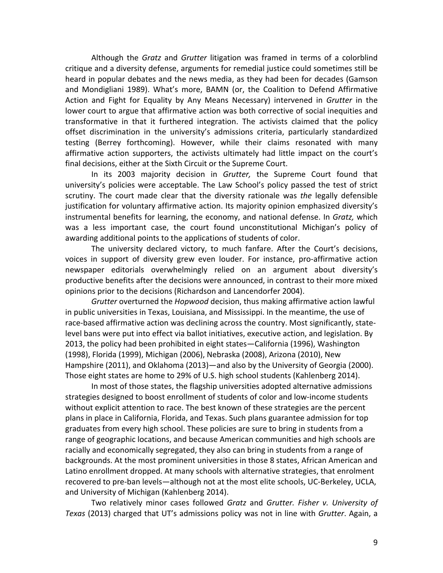Although the *Gratz* and *Grutter* litigation was framed in terms of a colorblind critique and a diversity defense, arguments for remedial justice could sometimes still be heard in popular debates and the news media, as they had been for decades (Gamson and Mondigliani 1989). What's more, BAMN (or, the Coalition to Defend Affirmative Action and Fight for Equality by Any Means Necessary) intervened in *Grutter* in the lower court to argue that affirmative action was both corrective of social inequities and transformative in that it furthered integration. The activists claimed that the policy offset discrimination in the university's admissions criteria, particularly standardized testing (Berrey forthcoming). However, while their claims resonated with many affirmative action supporters, the activists ultimately had little impact on the court's final decisions, either at the Sixth Circuit or the Supreme Court.

In its 2003 majority decision in *Grutter*, the Supreme Court found that university's policies were acceptable. The Law School's policy passed the test of strict scrutiny. The court made clear that the diversity rationale was *the* legally defensible justification for voluntary affirmative action. Its majority opinion emphasized diversity's instrumental benefits for learning, the economy, and national defense. In *Gratz*, which was a less important case, the court found unconstitutional Michigan's policy of awarding additional points to the applications of students of color.

The university declared victory, to much fanfare. After the Court's decisions, voices in support of diversity grew even louder. For instance, pro-affirmative action newspaper editorials overwhelmingly relied on an argument about diversity's productive benefits after the decisions were announced, in contrast to their more mixed opinions prior to the decisions (Richardson and Lancendorfer 2004).

Grutter overturned the *Hopwood* decision, thus making affirmative action lawful in public universities in Texas, Louisiana, and Mississippi. In the meantime, the use of race-based affirmative action was declining across the country. Most significantly, statelevel bans were put into effect via ballot initiatives, executive action, and legislation. By 2013, the policy had been prohibited in eight states—California (1996), Washington (1998), Florida (1999), Michigan (2006), Nebraska (2008), Arizona (2010), New Hampshire (2011), and Oklahoma (2013)—and also by the University of Georgia (2000). Those eight states are home to 29% of U.S. high school students (Kahlenberg 2014).

In most of those states, the flagship universities adopted alternative admissions strategies designed to boost enrollment of students of color and low-income students without explicit attention to race. The best known of these strategies are the percent plans in place in California, Florida, and Texas. Such plans guarantee admission for top graduates from every high school. These policies are sure to bring in students from a range of geographic locations, and because American communities and high schools are racially and economically segregated, they also can bring in students from a range of backgrounds. At the most prominent universities in those 8 states, African American and Latino enrollment dropped. At many schools with alternative strategies, that enrolment recovered to pre-ban levels—although not at the most elite schools, UC-Berkeley, UCLA, and University of Michigan (Kahlenberg 2014).

Two relatively minor cases followed *Gratz* and *Grutter. Fisher v. University of Texas* (2013) charged that UT's admissions policy was not in line with *Grutter*. Again, a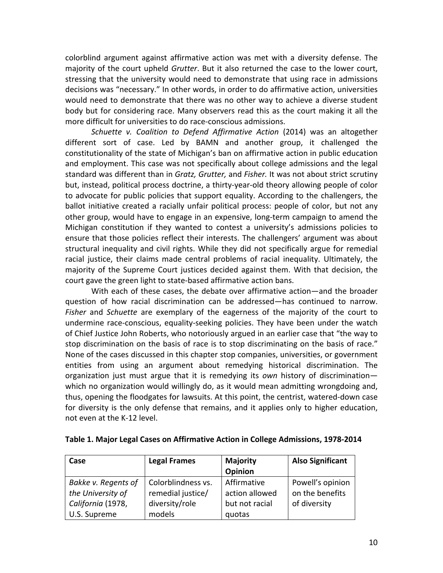colorblind argument against affirmative action was met with a diversity defense. The majority of the court upheld *Grutter*. But it also returned the case to the lower court, stressing that the university would need to demonstrate that using race in admissions decisions was "necessary." In other words, in order to do affirmative action, universities would need to demonstrate that there was no other way to achieve a diverse student body but for considering race. Many observers read this as the court making it all the more difficult for universities to do race-conscious admissions.

*Schuette* v. Coalition to Defend Affirmative Action (2014) was an altogether different sort of case. Led by BAMN and another group, it challenged the constitutionality of the state of Michigan's ban on affirmative action in public education and employment. This case was not specifically about college admissions and the legal standard was different than in *Gratz, Grutter,* and *Fisher.* It was not about strict scrutiny but, instead, political process doctrine, a thirty-year-old theory allowing people of color to advocate for public policies that support equality. According to the challengers, the ballot initiative created a racially unfair political process: people of color, but not any other group, would have to engage in an expensive, long-term campaign to amend the Michigan constitution if they wanted to contest a university's admissions policies to ensure that those policies reflect their interests. The challengers' argument was about structural inequality and civil rights. While they did not specifically argue for remedial racial iustice, their claims made central problems of racial inequality. Ultimately, the majority of the Supreme Court justices decided against them. With that decision, the court gave the green light to state-based affirmative action bans.

With each of these cases, the debate over affirmative action—and the broader question of how racial discrimination can be addressed—has continued to narrow. *Fisher* and *Schuette* are exemplary of the eagerness of the majority of the court to undermine race-conscious, equality-seeking policies. They have been under the watch of Chief Justice John Roberts, who notoriously argued in an earlier case that "the way to stop discrimination on the basis of race is to stop discriminating on the basis of race." None of the cases discussed in this chapter stop companies, universities, or government entities from using an argument about remedying historical discrimination. The organization just must argue that it is remedying its *own* history of discrimination which no organization would willingly do, as it would mean admitting wrongdoing and, thus, opening the floodgates for lawsuits. At this point, the centrist, watered-down case for diversity is the only defense that remains, and it applies only to higher education, not even at the K-12 level.

| Case                | <b>Legal Frames</b> | <b>Majority</b><br>Opinion | <b>Also Significant</b> |
|---------------------|---------------------|----------------------------|-------------------------|
| Bakke v. Regents of | Colorblindness vs.  | Affirmative                | Powell's opinion        |
| the University of   | remedial justice/   | action allowed             | on the benefits         |
| California (1978,   | diversity/role      | but not racial             | of diversity            |
| U.S. Supreme        | models              | quotas                     |                         |

## Table 1. Major Legal Cases on Affirmative Action in College Admissions, 1978-2014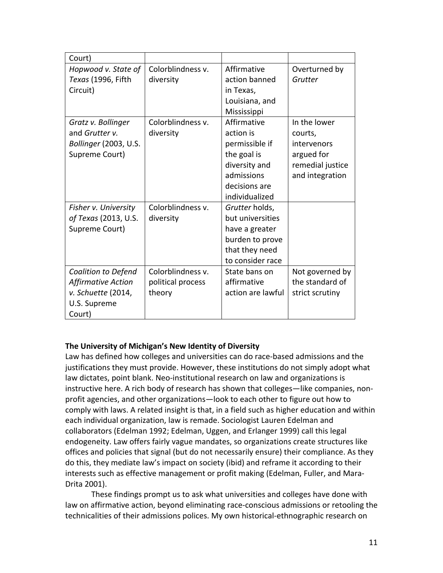| Court)                       |                   |                   |                  |
|------------------------------|-------------------|-------------------|------------------|
| Hopwood v. State of          | Colorblindness v. | Affirmative       | Overturned by    |
| Texas (1996, Fifth           | diversity         | action banned     | Grutter          |
| Circuit)                     |                   | in Texas,         |                  |
|                              |                   | Louisiana, and    |                  |
|                              |                   | Mississippi       |                  |
| Gratz v. Bollinger           | Colorblindness v. | Affirmative       | In the lower     |
| and Grutter v.               | diversity         | action is         | courts,          |
| <b>Bollinger</b> (2003, U.S. |                   | permissible if    | intervenors      |
| Supreme Court)               |                   | the goal is       | argued for       |
|                              |                   | diversity and     | remedial justice |
|                              |                   | admissions        | and integration  |
|                              |                   | decisions are     |                  |
|                              |                   | individualized    |                  |
| Fisher v. University         | Colorblindness v. | Grutter holds,    |                  |
| of Texas (2013, U.S.         | diversity         | but universities  |                  |
| Supreme Court)               |                   | have a greater    |                  |
|                              |                   | burden to prove   |                  |
|                              |                   | that they need    |                  |
|                              |                   | to consider race  |                  |
| <b>Coalition to Defend</b>   | Colorblindness v. | State bans on     | Not governed by  |
| <b>Affirmative Action</b>    | political process | affirmative       | the standard of  |
| v. Schuette (2014,           | theory            | action are lawful | strict scrutiny  |
| U.S. Supreme                 |                   |                   |                  |
| Court)                       |                   |                   |                  |

# The University of Michigan's New Identity of Diversity

Law has defined how colleges and universities can do race-based admissions and the justifications they must provide. However, these institutions do not simply adopt what law dictates, point blank. Neo-institutional research on law and organizations is instructive here. A rich body of research has shown that colleges—like companies, nonprofit agencies, and other organizations—look to each other to figure out how to comply with laws. A related insight is that, in a field such as higher education and within each individual organization, law is remade. Sociologist Lauren Edelman and collaborators (Edelman 1992; Edelman, Uggen, and Erlanger 1999) call this legal endogeneity. Law offers fairly vague mandates, so organizations create structures like offices and policies that signal (but do not necessarily ensure) their compliance. As they do this, they mediate law's impact on society (ibid) and reframe it according to their interests such as effective management or profit making (Edelman, Fuller, and Mara-Drita 2001). 

These findings prompt us to ask what universities and colleges have done with law on affirmative action, beyond eliminating race-conscious admissions or retooling the technicalities of their admissions polices. My own historical-ethnographic research on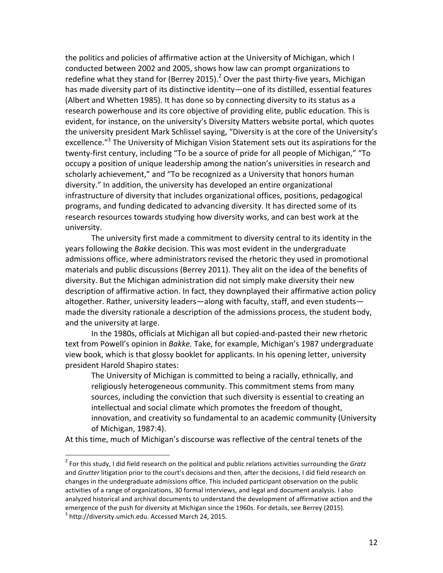the politics and policies of affirmative action at the University of Michigan, which I conducted between 2002 and 2005, shows how law can prompt organizations to redefine what they stand for (Berrey 2015).<sup>2</sup> Over the past thirty-five years, Michigan has made diversity part of its distinctive identity—one of its distilled, essential features (Albert and Whetten 1985). It has done so by connecting diversity to its status as a research powerhouse and its core objective of providing elite, public education. This is evident, for instance, on the university's Diversity Matters website portal, which quotes the university president Mark Schlissel saying, "Diversity is at the core of the University's excellence."<sup>3</sup> The University of Michigan Vision Statement sets out its aspirations for the twenty-first century, including "To be a source of pride for all people of Michigan," "To occupy a position of unique leadership among the nation's universities in research and scholarly achievement," and "To be recognized as a University that honors human diversity." In addition, the university has developed an entire organizational infrastructure of diversity that includes organizational offices, positions, pedagogical programs, and funding dedicated to advancing diversity. It has directed some of its research resources towards studying how diversity works, and can best work at the university. 

The university first made a commitment to diversity central to its identity in the years following the *Bakke* decision. This was most evident in the undergraduate admissions office, where administrators revised the rhetoric they used in promotional materials and public discussions (Berrey 2011). They alit on the idea of the benefits of diversity. But the Michigan administration did not simply make diversity their new description of affirmative action. In fact, they downplayed their affirmative action policy altogether. Rather, university leaders—along with faculty, staff, and even students made the diversity rationale a description of the admissions process, the student body, and the university at large.

In the 1980s, officials at Michigan all but copied-and-pasted their new rhetoric text from Powell's opinion in Bakke. Take, for example, Michigan's 1987 undergraduate view book, which is that glossy booklet for applicants. In his opening letter, university president Harold Shapiro states:

The University of Michigan is committed to being a racially, ethnically, and religiously heterogeneous community. This commitment stems from many sources, including the conviction that such diversity is essential to creating an intellectual and social climate which promotes the freedom of thought, innovation, and creativity so fundamental to an academic community (University of Michigan, 1987:4).

At this time, much of Michigan's discourse was reflective of the central tenets of the

<sup>&</sup>lt;sup>2</sup> For this study, I did field research on the political and public relations activities surrounding the *Gratz* and *Grutter* litigation prior to the court's decisions and then, after the decisions, I did field research on changes in the undergraduate admissions office. This included participant observation on the public activities of a range of organizations, 30 formal interviews, and legal and document analysis. I also analyzed historical and archival documents to understand the development of affirmative action and the emergence of the push for diversity at Michigan since the 1960s. For details, see Berrey (2015).<br><sup>3</sup> http://diversity.umich.edu. Accessed March 24, 2015.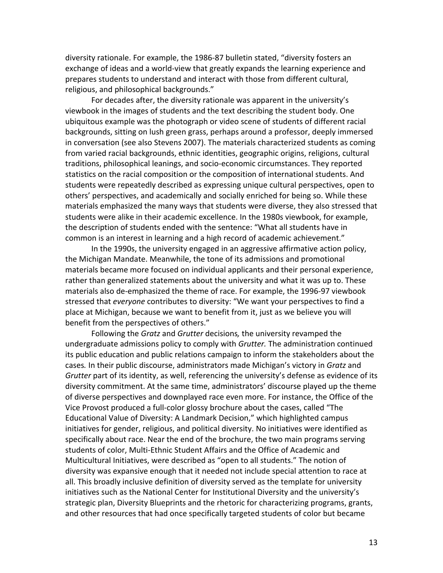diversity rationale. For example, the 1986-87 bulletin stated, "diversity fosters an exchange of ideas and a world-view that greatly expands the learning experience and prepares students to understand and interact with those from different cultural, religious, and philosophical backgrounds."

For decades after, the diversity rationale was apparent in the university's viewbook in the images of students and the text describing the student body. One ubiquitous example was the photograph or video scene of students of different racial backgrounds, sitting on lush green grass, perhaps around a professor, deeply immersed in conversation (see also Stevens 2007). The materials characterized students as coming from varied racial backgrounds, ethnic identities, geographic origins, religions, cultural traditions, philosophical leanings, and socio-economic circumstances. They reported statistics on the racial composition or the composition of international students. And students were repeatedly described as expressing unique cultural perspectives, open to others' perspectives, and academically and socially enriched for being so. While these materials emphasized the many ways that students were diverse, they also stressed that students were alike in their academic excellence. In the 1980s viewbook, for example, the description of students ended with the sentence: "What all students have in common is an interest in learning and a high record of academic achievement."

In the 1990s, the university engaged in an aggressive affirmative action policy, the Michigan Mandate. Meanwhile, the tone of its admissions and promotional materials became more focused on individual applicants and their personal experience, rather than generalized statements about the university and what it was up to. These materials also de-emphasized the theme of race. For example, the 1996-97 viewbook stressed that *everyone* contributes to diversity: "We want your perspectives to find a place at Michigan, because we want to benefit from it, just as we believe you will benefit from the perspectives of others."

Following the *Gratz* and *Grutter* decisions, the university revamped the undergraduate admissions policy to comply with *Grutter*. The administration continued its public education and public relations campaign to inform the stakeholders about the cases. In their public discourse, administrators made Michigan's victory in *Gratz* and *Grutter* part of its identity, as well, referencing the university's defense as evidence of its diversity commitment. At the same time, administrators' discourse played up the theme of diverse perspectives and downplayed race even more. For instance, the Office of the Vice Provost produced a full-color glossy brochure about the cases, called "The Educational Value of Diversity: A Landmark Decision," which highlighted campus initiatives for gender, religious, and political diversity. No initiatives were identified as specifically about race. Near the end of the brochure, the two main programs serving students of color, Multi-Ethnic Student Affairs and the Office of Academic and Multicultural Initiatives, were described as "open to all students." The notion of diversity was expansive enough that it needed not include special attention to race at all. This broadly inclusive definition of diversity served as the template for university initiatives such as the National Center for Institutional Diversity and the university's strategic plan, Diversity Blueprints and the rhetoric for characterizing programs, grants, and other resources that had once specifically targeted students of color but became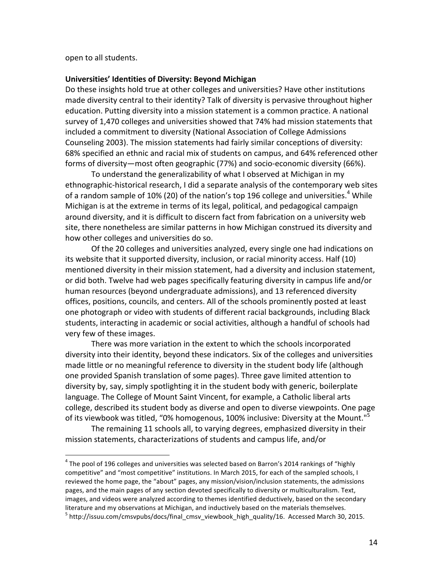open to all students.

### **Universities' Identities of Diversity: Beyond Michigan**

Do these insights hold true at other colleges and universities? Have other institutions made diversity central to their identity? Talk of diversity is pervasive throughout higher education. Putting diversity into a mission statement is a common practice. A national survey of 1,470 colleges and universities showed that 74% had mission statements that included a commitment to diversity (National Association of College Admissions Counseling 2003). The mission statements had fairly similar conceptions of diversity: 68% specified an ethnic and racial mix of students on campus, and 64% referenced other forms of diversity—most often geographic (77%) and socio-economic diversity (66%).

To understand the generalizability of what I observed at Michigan in my ethnographic-historical research, I did a separate analysis of the contemporary web sites of a random sample of 10% (20) of the nation's top 196 college and universities.<sup>4</sup> While Michigan is at the extreme in terms of its legal, political, and pedagogical campaign around diversity, and it is difficult to discern fact from fabrication on a university web site, there nonetheless are similar patterns in how Michigan construed its diversity and how other colleges and universities do so.

Of the 20 colleges and universities analyzed, every single one had indications on its website that it supported diversity, inclusion, or racial minority access. Half (10) mentioned diversity in their mission statement, had a diversity and inclusion statement, or did both. Twelve had web pages specifically featuring diversity in campus life and/or human resources (beyond undergraduate admissions), and 13 referenced diversity offices, positions, councils, and centers. All of the schools prominently posted at least one photograph or video with students of different racial backgrounds, including Black students, interacting in academic or social activities, although a handful of schools had very few of these images.

There was more variation in the extent to which the schools incorporated diversity into their identity, beyond these indicators. Six of the colleges and universities made little or no meaningful reference to diversity in the student body life (although one provided Spanish translation of some pages). Three gave limited attention to diversity by, say, simply spotlighting it in the student body with generic, boilerplate language. The College of Mount Saint Vincent, for example, a Catholic liberal arts college, described its student body as diverse and open to diverse viewpoints. One page of its viewbook was titled, "0% homogenous, 100% inclusive: Diversity at the Mount."<sup>5</sup>

The remaining 11 schools all, to varying degrees, emphasized diversity in their mission statements, characterizations of students and campus life, and/or

 $^4$  The pool of 196 colleges and universities was selected based on Barron's 2014 rankings of "highly competitive" and "most competitive" institutions. In March 2015, for each of the sampled schools, I reviewed the home page, the "about" pages, any mission/vision/inclusion statements, the admissions pages, and the main pages of any section devoted specifically to diversity or multiculturalism. Text, images, and videos were analyzed according to themes identified deductively, based on the secondary literature and my observations at Michigan, and inductively based on the materials themselves. <sup>5</sup> http://issuu.com/cmsvpubs/docs/final\_cmsv\_viewbook\_high\_quality/16. Accessed March 30, 2015.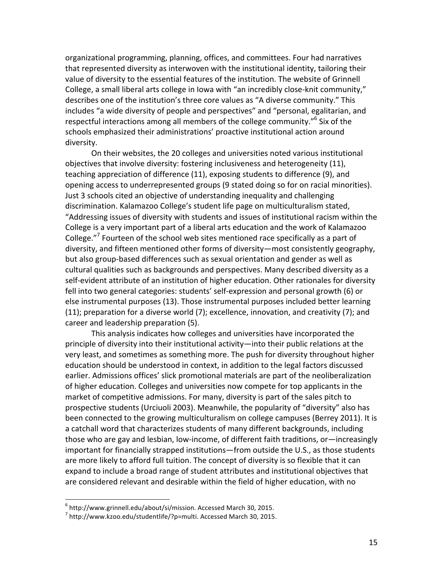organizational programming, planning, offices, and committees. Four had narratives that represented diversity as interwoven with the institutional identity, tailoring their value of diversity to the essential features of the institution. The website of Grinnell College, a small liberal arts college in lowa with "an incredibly close-knit community," describes one of the institution's three core values as "A diverse community." This includes "a wide diversity of people and perspectives" and "personal, egalitarian, and respectful interactions among all members of the college community."<sup>6</sup> Six of the schools emphasized their administrations' proactive institutional action around diversity. 

On their websites, the 20 colleges and universities noted various institutional objectives that involve diversity: fostering inclusiveness and heterogeneity (11), teaching appreciation of difference (11), exposing students to difference (9), and opening access to underrepresented groups (9 stated doing so for on racial minorities). Just 3 schools cited an objective of understanding inequality and challenging discrimination. Kalamazoo College's student life page on multiculturalism stated, "Addressing issues of diversity with students and issues of institutional racism within the College is a very important part of a liberal arts education and the work of Kalamazoo College."<sup>7</sup> Fourteen of the school web sites mentioned race specifically as a part of diversity, and fifteen mentioned other forms of diversity—most consistently geography, but also group-based differences such as sexual orientation and gender as well as cultural qualities such as backgrounds and perspectives. Many described diversity as a self-evident attribute of an institution of higher education. Other rationales for diversity fell into two general categories: students' self-expression and personal growth (6) or else instrumental purposes (13). Those instrumental purposes included better learning (11); preparation for a diverse world  $(7)$ ; excellence, innovation, and creativity  $(7)$ ; and career and leadership preparation (5).

This analysis indicates how colleges and universities have incorporated the principle of diversity into their institutional activity—into their public relations at the very least, and sometimes as something more. The push for diversity throughout higher education should be understood in context, in addition to the legal factors discussed earlier. Admissions offices' slick promotional materials are part of the neoliberalization of higher education. Colleges and universities now compete for top applicants in the market of competitive admissions. For many, diversity is part of the sales pitch to prospective students (Urciuoli 2003). Meanwhile, the popularity of "diversity" also has been connected to the growing multiculturalism on college campuses (Berrey 2011). It is a catchall word that characterizes students of many different backgrounds, including those who are gay and lesbian, low-income, of different faith traditions, or—increasingly important for financially strapped institutions—from outside the U.S., as those students are more likely to afford full tuition. The concept of diversity is so flexible that it can expand to include a broad range of student attributes and institutional objectives that are considered relevant and desirable within the field of higher education, with no

 $^6$  http://www.grinnell.edu/about/si/mission. Accessed March 30, 2015.<br><sup>7</sup> http://www.kzoo.edu/studentlife/?p=multi. Accessed March 30, 2015.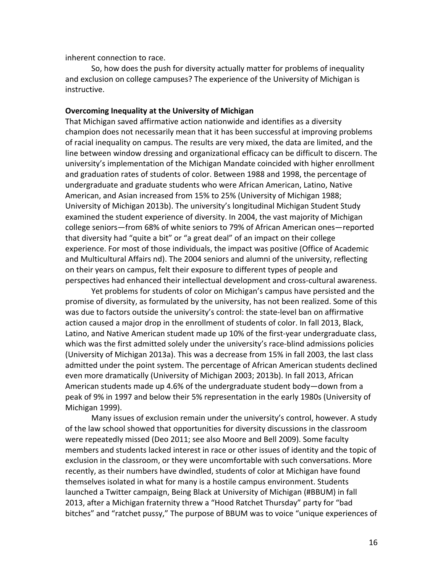inherent connection to race.

So, how does the push for diversity actually matter for problems of inequality and exclusion on college campuses? The experience of the University of Michigan is instructive. 

## **Overcoming Inequality at the University of Michigan**

That Michigan saved affirmative action nationwide and identifies as a diversity champion does not necessarily mean that it has been successful at improving problems of racial inequality on campus. The results are very mixed, the data are limited, and the line between window dressing and organizational efficacy can be difficult to discern. The university's implementation of the Michigan Mandate coincided with higher enrollment and graduation rates of students of color. Between 1988 and 1998, the percentage of undergraduate and graduate students who were African American, Latino, Native American, and Asian increased from 15% to 25% (University of Michigan 1988; University of Michigan 2013b). The university's longitudinal Michigan Student Study examined the student experience of diversity. In 2004, the vast majority of Michigan college seniors—from 68% of white seniors to 79% of African American ones—reported that diversity had "quite a bit" or "a great deal" of an impact on their college experience. For most of those individuals, the impact was positive (Office of Academic and Multicultural Affairs nd). The 2004 seniors and alumni of the university, reflecting on their years on campus, felt their exposure to different types of people and perspectives had enhanced their intellectual development and cross-cultural awareness.

Yet problems for students of color on Michigan's campus have persisted and the promise of diversity, as formulated by the university, has not been realized. Some of this was due to factors outside the university's control: the state-level ban on affirmative action caused a major drop in the enrollment of students of color. In fall 2013, Black, Latino, and Native American student made up 10% of the first-year undergraduate class, which was the first admitted solely under the university's race-blind admissions policies (University of Michigan 2013a). This was a decrease from 15% in fall 2003, the last class admitted under the point system. The percentage of African American students declined even more dramatically (University of Michigan 2003; 2013b). In fall 2013, African American students made up 4.6% of the undergraduate student body-down from a peak of 9% in 1997 and below their 5% representation in the early 1980s (University of Michigan 1999).

Many issues of exclusion remain under the university's control, however. A study of the law school showed that opportunities for diversity discussions in the classroom were repeatedly missed (Deo 2011; see also Moore and Bell 2009). Some faculty members and students lacked interest in race or other issues of identity and the topic of exclusion in the classroom, or they were uncomfortable with such conversations. More recently, as their numbers have dwindled, students of color at Michigan have found themselves isolated in what for many is a hostile campus environment. Students launched a Twitter campaign, Being Black at University of Michigan (#BBUM) in fall 2013, after a Michigan fraternity threw a "Hood Ratchet Thursday" party for "bad bitches" and "ratchet pussy," The purpose of BBUM was to voice "unique experiences of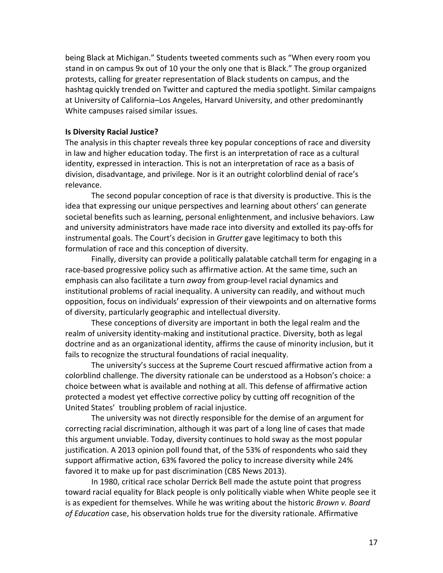being Black at Michigan." Students tweeted comments such as "When every room you stand in on campus 9x out of 10 your the only one that is Black." The group organized protests, calling for greater representation of Black students on campus, and the hashtag quickly trended on Twitter and captured the media spotlight. Similar campaigns at University of California–Los Angeles, Harvard University, and other predominantly White campuses raised similar issues.

### **Is Diversity Racial Justice?**

The analysis in this chapter reveals three key popular conceptions of race and diversity in law and higher education today. The first is an interpretation of race as a cultural identity, expressed in interaction. This is not an interpretation of race as a basis of division, disadvantage, and privilege. Nor is it an outright colorblind denial of race's relevance. 

The second popular conception of race is that diversity is productive. This is the idea that expressing our unique perspectives and learning about others' can generate societal benefits such as learning, personal enlightenment, and inclusive behaviors. Law and university administrators have made race into diversity and extolled its pay-offs for instrumental goals. The Court's decision in *Grutter* gave legitimacy to both this formulation of race and this conception of diversity.

Finally, diversity can provide a politically palatable catchall term for engaging in a race-based progressive policy such as affirmative action. At the same time, such an emphasis can also facilitate a turn *away* from group-level racial dynamics and institutional problems of racial inequality. A university can readily, and without much opposition, focus on individuals' expression of their viewpoints and on alternative forms of diversity, particularly geographic and intellectual diversity.

These conceptions of diversity are important in both the legal realm and the realm of university identity-making and institutional practice. Diversity, both as legal doctrine and as an organizational identity, affirms the cause of minority inclusion, but it fails to recognize the structural foundations of racial inequality.

The university's success at the Supreme Court rescued affirmative action from a colorblind challenge. The diversity rationale can be understood as a Hobson's choice: a choice between what is available and nothing at all. This defense of affirmative action protected a modest yet effective corrective policy by cutting off recognition of the United States' troubling problem of racial injustice.

The university was not directly responsible for the demise of an argument for correcting racial discrimination, although it was part of a long line of cases that made this argument unviable. Today, diversity continues to hold sway as the most popular justification. A 2013 opinion poll found that, of the 53% of respondents who said they support affirmative action, 63% favored the policy to increase diversity while 24% favored it to make up for past discrimination (CBS News 2013).

In 1980, critical race scholar Derrick Bell made the astute point that progress toward racial equality for Black people is only politically viable when White people see it is as expedient for themselves. While he was writing about the historic *Brown v. Board* of Education case, his observation holds true for the diversity rationale. Affirmative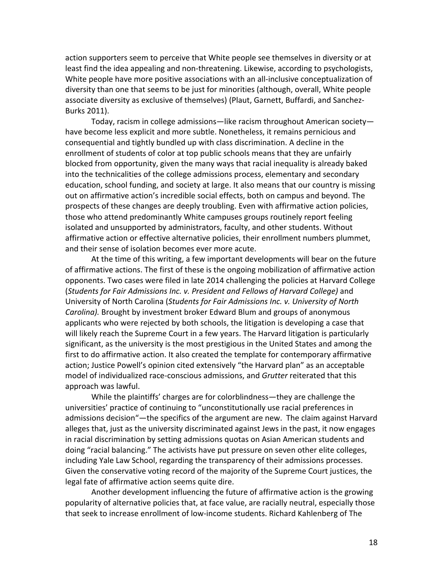action supporters seem to perceive that White people see themselves in diversity or at least find the idea appealing and non-threatening. Likewise, according to psychologists, White people have more positive associations with an all-inclusive conceptualization of diversity than one that seems to be just for minorities (although, overall, White people associate diversity as exclusive of themselves) (Plaut, Garnett, Buffardi, and Sanchez-Burks 2011). 

Today, racism in college admissions—like racism throughout American society have become less explicit and more subtle. Nonetheless, it remains pernicious and consequential and tightly bundled up with class discrimination. A decline in the enrollment of students of color at top public schools means that they are unfairly blocked from opportunity, given the many ways that racial inequality is already baked into the technicalities of the college admissions process, elementary and secondary education, school funding, and society at large. It also means that our country is missing out on affirmative action's incredible social effects, both on campus and beyond. The prospects of these changes are deeply troubling. Even with affirmative action policies, those who attend predominantly White campuses groups routinely report feeling isolated and unsupported by administrators, faculty, and other students. Without affirmative action or effective alternative policies, their enrollment numbers plummet, and their sense of isolation becomes ever more acute.

At the time of this writing, a few important developments will bear on the future of affirmative actions. The first of these is the ongoing mobilization of affirmative action opponents. Two cases were filed in late 2014 challenging the policies at Harvard College (*Students for Fair Admissions Inc. v. President and Fellows of Harvard College*) and University of North Carolina (*Students for Fair Admissions Inc. v. University of North Carolina)*. Brought by investment broker Edward Blum and groups of anonymous applicants who were rejected by both schools, the litigation is developing a case that will likely reach the Supreme Court in a few years. The Harvard litigation is particularly significant, as the university is the most prestigious in the United States and among the first to do affirmative action. It also created the template for contemporary affirmative action; Justice Powell's opinion cited extensively "the Harvard plan" as an acceptable model of individualized race-conscious admissions, and *Grutter* reiterated that this approach was lawful.

While the plaintiffs' charges are for colorblindness—they are challenge the universities' practice of continuing to "unconstitutionally use racial preferences in admissions decision"—the specifics of the argument are new. The claim against Harvard alleges that, just as the university discriminated against Jews in the past, it now engages in racial discrimination by setting admissions quotas on Asian American students and doing "racial balancing." The activists have put pressure on seven other elite colleges, including Yale Law School, regarding the transparency of their admissions processes. Given the conservative voting record of the majority of the Supreme Court justices, the legal fate of affirmative action seems quite dire.

Another development influencing the future of affirmative action is the growing popularity of alternative policies that, at face value, are racially neutral, especially those that seek to increase enrollment of low-income students. Richard Kahlenberg of The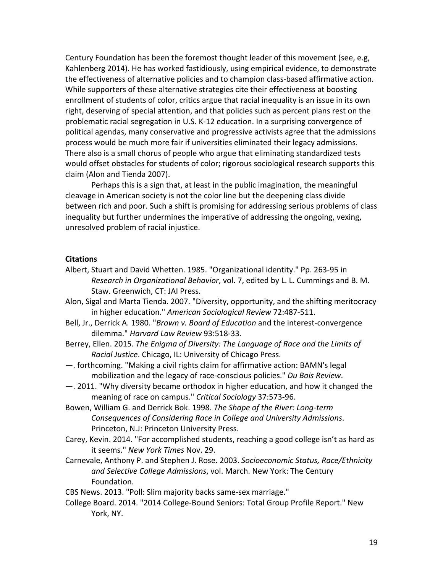Century Foundation has been the foremost thought leader of this movement (see, e.g, Kahlenberg 2014). He has worked fastidiously, using empirical evidence, to demonstrate the effectiveness of alternative policies and to champion class-based affirmative action. While supporters of these alternative strategies cite their effectiveness at boosting enrollment of students of color, critics argue that racial inequality is an issue in its own right, deserving of special attention, and that policies such as percent plans rest on the problematic racial segregation in U.S. K-12 education. In a surprising convergence of political agendas, many conservative and progressive activists agree that the admissions process would be much more fair if universities eliminated their legacy admissions. There also is a small chorus of people who argue that eliminating standardized tests would offset obstacles for students of color; rigorous sociological research supports this claim (Alon and Tienda 2007).

Perhaps this is a sign that, at least in the public imagination, the meaningful cleavage in American society is not the color line but the deepening class divide between rich and poor. Such a shift is promising for addressing serious problems of class inequality but further undermines the imperative of addressing the ongoing, vexing, unresolved problem of racial injustice.

## **Citations**

- Albert, Stuart and David Whetten. 1985. "Organizational identity." Pp. 263-95 in *Research in Organizational Behavior*, vol. 7, edited by L. L. Cummings and B. M. Staw. Greenwich, CT: JAI Press.
- Alon, Sigal and Marta Tienda. 2007. "Diversity, opportunity, and the shifting meritocracy in higher education." American Sociological Review 72:487-511.
- Bell, Jr., Derrick A. 1980. "*Brown v. Board of Education* and the interest-convergence dilemma." *Harvard Law Review* 93:518-33.
- Berrey, Ellen. 2015. *The Enigma of Diversity: The Language of Race and the Limits of Racial Justice.* Chicago, IL: University of Chicago Press.
- $-$ . forthcoming. "Making a civil rights claim for affirmative action: BAMN's legal mobilization and the legacy of race-conscious policies." *Du Bois Review*.
- $-$ . 2011. "Why diversity became orthodox in higher education, and how it changed the meaning of race on campus." Critical Sociology 37:573-96.
- Bowen, William G. and Derrick Bok. 1998. The Shape of the River: Long-term *Consequences of Considering Race in College and University Admissions*. Princeton, N.J: Princeton University Press.
- Carey, Kevin. 2014. "For accomplished students, reaching a good college isn't as hard as it seems." New York Times Nov. 29.
- Carnevale, Anthony P. and Stephen J. Rose. 2003. Socioeconomic Status, Race/Ethnicity and Selective College Admissions, vol. March. New York: The Century Foundation.
- CBS News. 2013. "Poll: Slim majority backs same-sex marriage."
- College Board. 2014. "2014 College-Bound Seniors: Total Group Profile Report." New York, NY.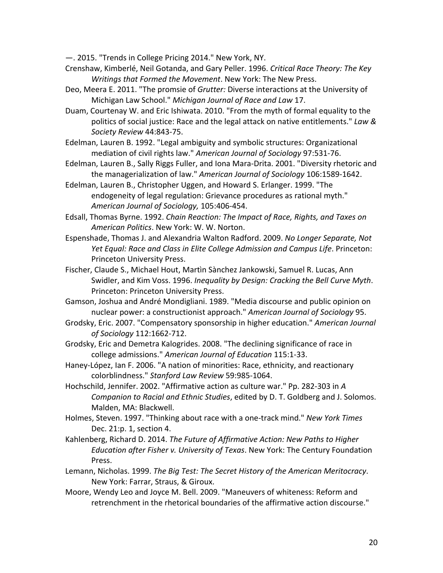$-$ . 2015. "Trends in College Pricing 2014." New York, NY.

- Crenshaw, Kimberlé, Neil Gotanda, and Gary Peller. 1996. Critical Race Theory: The Key *Writings that Formed the Movement*. New York: The New Press.
- Deo, Meera E. 2011. "The promsie of *Grutter:* Diverse interactions at the University of Michigan Law School." *Michigan Journal of Race and Law* 17.
- Duam, Courtenay W. and Eric Ishiwata. 2010. "From the myth of formal equality to the politics of social justice: Race and the legal attack on native entitlements." *Law & Society Review* 44:843-75.
- Edelman, Lauren B. 1992. "Legal ambiguity and symbolic structures: Organizational mediation of civil rights law." American Journal of Sociology 97:531-76.

Edelman, Lauren B., Sally Riggs Fuller, and Iona Mara-Drita. 2001. "Diversity rhetoric and the managerialization of law." American Journal of Sociology 106:1589-1642.

Edelman, Lauren B., Christopher Uggen, and Howard S. Erlanger. 1999. "The endogeneity of legal regulation: Grievance procedures as rational myth." *American Journal of Sociology,* 105:406-454.

- Edsall, Thomas Byrne. 1992. *Chain Reaction: The Impact of Race, Rights, and Taxes on American Politics*. New York: W. W. Norton.
- Espenshade, Thomas J. and Alexandria Walton Radford. 2009. No Longer Separate, Not *Yet Equal: Race and Class in Elite College Admission and Campus Life. Princeton:* Princeton University Press.
- Fischer, Claude S., Michael Hout, Martìn Sànchez Jankowski, Samuel R. Lucas, Ann Swidler, and Kim Voss. 1996. *Inequality by Design: Cracking the Bell Curve Myth.* Princeton: Princeton University Press.

Gamson, Joshua and André Mondigliani. 1989. "Media discourse and public opinion on nuclear power: a constructionist approach." American Journal of Sociology 95.

- Grodsky, Eric. 2007. "Compensatory sponsorship in higher education." American Journal *of Sociology* 112:1662-712.
- Grodsky, Eric and Demetra Kalogrides. 2008. "The declining significance of race in college admissions." American Journal of Education 115:1-33.
- Haney-López, Ian F. 2006. "A nation of minorities: Race, ethnicity, and reactionary colorblindness." *Stanford Law Review* 59:985-1064.
- Hochschild, Jennifer. 2002. "Affirmative action as culture war." Pp. 282-303 in A *Companion to Racial and Ethnic Studies*, edited by D. T. Goldberg and J. Solomos. Malden, MA: Blackwell.
- Holmes, Steven. 1997. "Thinking about race with a one-track mind." New York Times Dec. 21:p. 1, section 4.
- Kahlenberg, Richard D. 2014. *The Future of Affirmative Action: New Paths to Higher Education after Fisher v. University of Texas. New York: The Century Foundation* Press.
- Lemann, Nicholas. 1999. The Big Test: The Secret History of the American Meritocracy. New York: Farrar, Straus, & Giroux.
- Moore, Wendy Leo and Joyce M. Bell. 2009. "Maneuvers of whiteness: Reform and retrenchment in the rhetorical boundaries of the affirmative action discourse."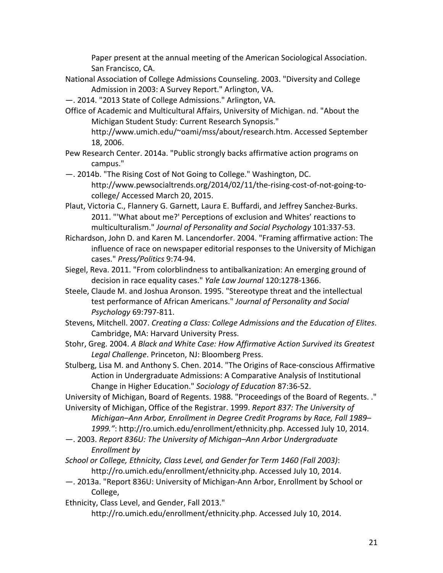Paper present at the annual meeting of the American Sociological Association. San Francisco, CA.

- National Association of College Admissions Counseling. 2003. "Diversity and College Admission in 2003: A Survey Report." Arlington, VA.
- $-$ . 2014. "2013 State of College Admissions." Arlington, VA.
- Office of Academic and Multicultural Affairs, University of Michigan. nd. "About the Michigan Student Study: Current Research Synopsis."

http://www.umich.edu/~oami/mss/about/research.htm. Accessed September 18, 2006.

- Pew Research Center. 2014a. "Public strongly backs affirmative action programs on campus."
- $-$ . 2014b. "The Rising Cost of Not Going to College." Washington, DC. http://www.pewsocialtrends.org/2014/02/11/the-rising-cost-of-not-going-tocollege/ Accessed March 20, 2015.
- Plaut, Victoria C., Flannery G. Garnett, Laura E. Buffardi, and Jeffrey Sanchez-Burks. 2011. "'What about me?' Perceptions of exclusion and Whites' reactions to multiculturalism." Journal of Personality and Social Psychology 101:337-53.
- Richardson, John D. and Karen M. Lancendorfer. 2004. "Framing affirmative action: The influence of race on newspaper editorial responses to the University of Michigan cases." *Press/Politics* 9:74-94.
- Siegel, Reva. 2011. "From colorblindness to antibalkanization: An emerging ground of decision in race equality cases." Yale Law Journal 120:1278-1366.
- Steele, Claude M. and Joshua Aronson. 1995. "Stereotype threat and the intellectual test performance of African Americans." Journal of Personality and Social *Psychology* 69:797-811.
- Stevens, Mitchell. 2007. *Creating a Class: College Admissions and the Education of Elites.* Cambridge, MA: Harvard University Press.
- Stohr, Greg. 2004. A Black and White Case: How Affirmative Action Survived its Greatest Legal Challenge. Princeton, NJ: Bloomberg Press.
- Stulberg, Lisa M. and Anthony S. Chen. 2014. "The Origins of Race-conscious Affirmative Action in Undergraduate Admissions: A Comparative Analysis of Institutional Change in Higher Education." Sociology of Education 87:36-52.

University of Michigan, Board of Regents. 1988. "Proceedings of the Board of Regents. ." University of Michigan, Office of the Registrar. 1999. *Report 837: The University of* 

- *Michigan–Ann Arbor, Enrollment in Degree Credit Programs by Race, Fall 1989–* 1999.": http://ro.umich.edu/enrollment/ethnicity.php. Accessed July 10, 2014.
- $-$ . 2003. Report 836U: The University of Michigan-Ann Arbor Undergraduate *Enrollment by*
- School or College, Ethnicity, Class Level, and Gender for Term 1460 (Fall 2003): http://ro.umich.edu/enrollment/ethnicity.php. Accessed July 10, 2014.
- $-$ . 2013a. "Report 836U: University of Michigan-Ann Arbor, Enrollment by School or College,
- Ethnicity, Class Level, and Gender, Fall 2013."

http://ro.umich.edu/enrollment/ethnicity.php. Accessed July 10, 2014.